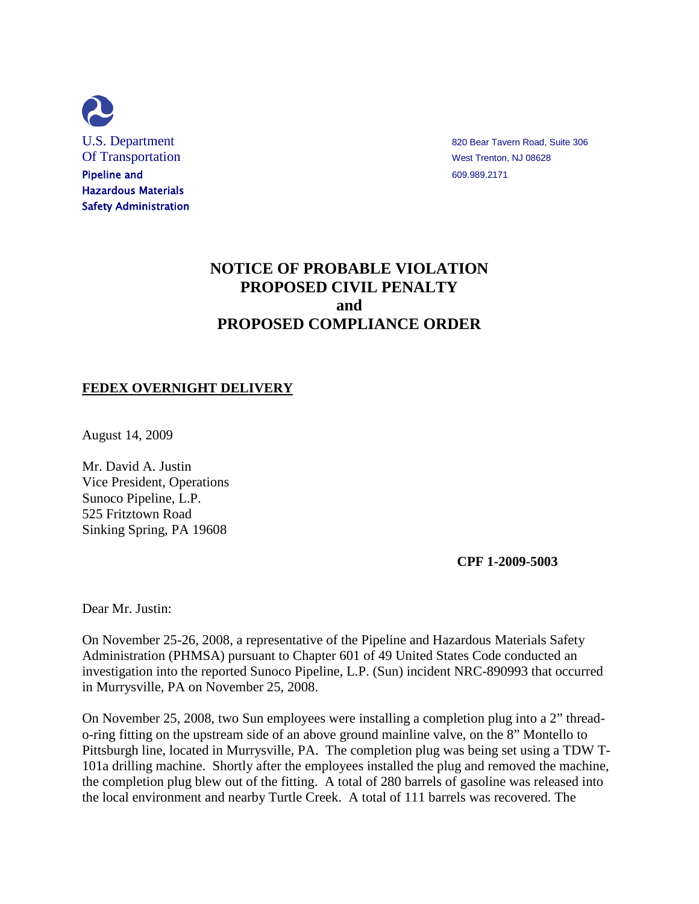

U.S. Department and the state of the state of the state and state and state and state 306 and state 306 and state 306 and state 306 and state 306 and state 306 and state 306 and state 306 and state 306 and state 306 and st

# **NOTICE OF PROBABLE VIOLATION PROPOSED CIVIL PENALTY and PROPOSED COMPLIANCE ORDER**

## **FEDEX OVERNIGHT DELIVERY**

August 14, 2009

Mr. David A. Justin Vice President, Operations Sunoco Pipeline, L.P. 525 Fritztown Road Sinking Spring, PA 19608

**CPF 1-2009-5003**

Dear Mr. Justin:

On November 25-26, 2008, a representative of the Pipeline and Hazardous Materials Safety Administration (PHMSA) pursuant to Chapter 601 of 49 United States Code conducted an investigation into the reported Sunoco Pipeline, L.P. (Sun) incident NRC-890993 that occurred in Murrysville, PA on November 25, 2008.

On November 25, 2008, two Sun employees were installing a completion plug into a 2" threado-ring fitting on the upstream side of an above ground mainline valve, on the 8" Montello to Pittsburgh line, located in Murrysville, PA. The completion plug was being set using a TDW T-101a drilling machine. Shortly after the employees installed the plug and removed the machine, the completion plug blew out of the fitting. A total of 280 barrels of gasoline was released into the local environment and nearby Turtle Creek. A total of 111 barrels was recovered. The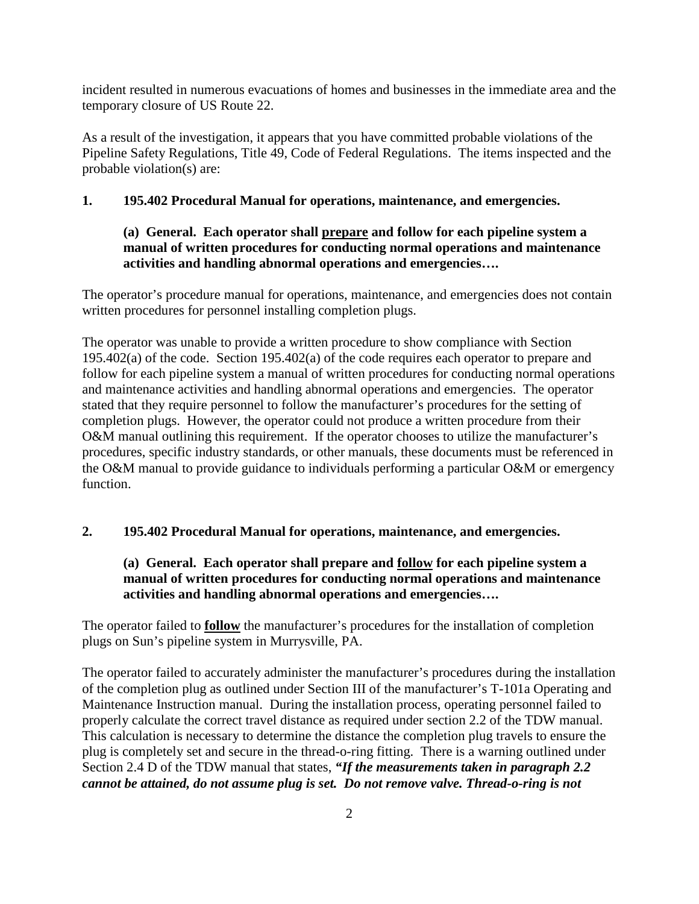incident resulted in numerous evacuations of homes and businesses in the immediate area and the temporary closure of US Route 22.

As a result of the investigation, it appears that you have committed probable violations of the Pipeline Safety Regulations, Title 49, Code of Federal Regulations. The items inspected and the probable violation(s) are:

### **1. 195.402 Procedural Manual for operations, maintenance, and emergencies.**

# **(a) General. Each operator shall prepare and follow for each pipeline system a manual of written procedures for conducting normal operations and maintenance activities and handling abnormal operations and emergencies….**

The operator's procedure manual for operations, maintenance, and emergencies does not contain written procedures for personnel installing completion plugs.

The operator was unable to provide a written procedure to show compliance with Section 195.402(a) of the code. Section 195.402(a) of the code requires each operator to prepare and follow for each pipeline system a manual of written procedures for conducting normal operations and maintenance activities and handling abnormal operations and emergencies. The operator stated that they require personnel to follow the manufacturer's procedures for the setting of completion plugs. However, the operator could not produce a written procedure from their O&M manual outlining this requirement. If the operator chooses to utilize the manufacturer's procedures, specific industry standards, or other manuals, these documents must be referenced in the O&M manual to provide guidance to individuals performing a particular O&M or emergency function.

### **2. 195.402 Procedural Manual for operations, maintenance, and emergencies.**

# **(a) General. Each operator shall prepare and follow for each pipeline system a manual of written procedures for conducting normal operations and maintenance activities and handling abnormal operations and emergencies….**

The operator failed to **follow** the manufacturer's procedures for the installation of completion plugs on Sun's pipeline system in Murrysville, PA.

The operator failed to accurately administer the manufacturer's procedures during the installation of the completion plug as outlined under Section III of the manufacturer's T-101a Operating and Maintenance Instruction manual. During the installation process, operating personnel failed to properly calculate the correct travel distance as required under section 2.2 of the TDW manual. This calculation is necessary to determine the distance the completion plug travels to ensure the plug is completely set and secure in the thread-o-ring fitting. There is a warning outlined under Section 2.4 D of the TDW manual that states, *"If the measurements taken in paragraph 2.2 cannot be attained, do not assume plug is set. Do not remove valve. Thread-o-ring is not*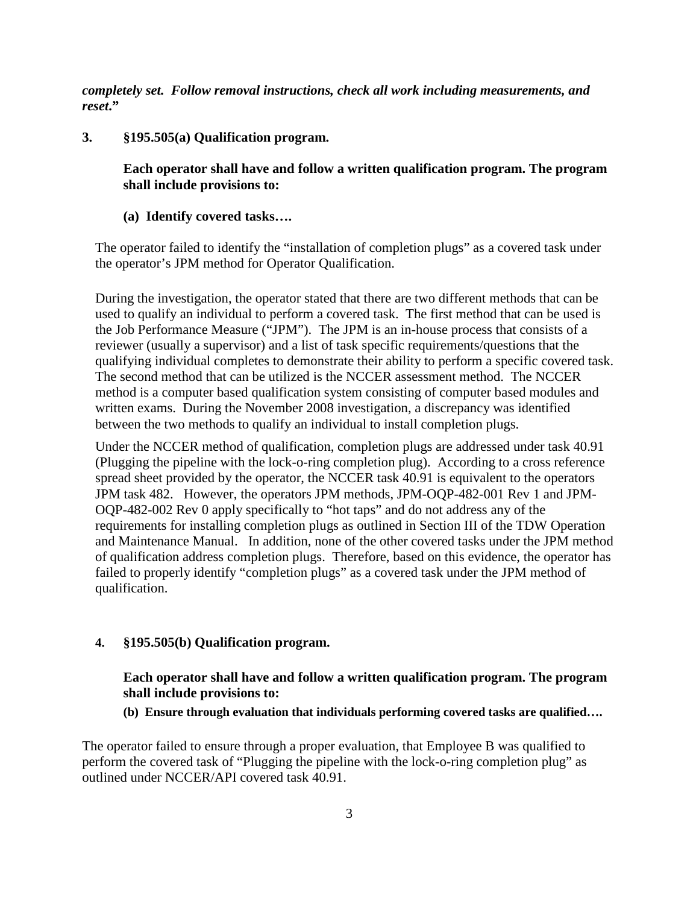*completely set. Follow removal instructions, check all work including measurements, and reset***."**

**3. §195.505(a) Qualification program.**

**Each operator shall have and follow a written qualification program. The program shall include provisions to:**

**(a) Identify covered tasks….**

The operator failed to identify the "installation of completion plugs" as a covered task under the operator's JPM method for Operator Qualification.

During the investigation, the operator stated that there are two different methods that can be used to qualify an individual to perform a covered task. The first method that can be used is the Job Performance Measure ("JPM"). The JPM is an in-house process that consists of a reviewer (usually a supervisor) and a list of task specific requirements/questions that the qualifying individual completes to demonstrate their ability to perform a specific covered task. The second method that can be utilized is the NCCER assessment method. The NCCER method is a computer based qualification system consisting of computer based modules and written exams. During the November 2008 investigation, a discrepancy was identified between the two methods to qualify an individual to install completion plugs.

Under the NCCER method of qualification, completion plugs are addressed under task 40.91 (Plugging the pipeline with the lock-o-ring completion plug). According to a cross reference spread sheet provided by the operator, the NCCER task 40.91 is equivalent to the operators JPM task 482. However, the operators JPM methods, JPM-OQP-482-001 Rev 1 and JPM-OQP-482-002 Rev 0 apply specifically to "hot taps" and do not address any of the requirements for installing completion plugs as outlined in Section III of the TDW Operation and Maintenance Manual. In addition, none of the other covered tasks under the JPM method of qualification address completion plugs. Therefore, based on this evidence, the operator has failed to properly identify "completion plugs" as a covered task under the JPM method of qualification.

#### **4. §195.505(b) Qualification program.**

**Each operator shall have and follow a written qualification program. The program shall include provisions to:**

**(b) Ensure through evaluation that individuals performing covered tasks are qualified….**

The operator failed to ensure through a proper evaluation, that Employee B was qualified to perform the covered task of "Plugging the pipeline with the lock-o-ring completion plug" as outlined under NCCER/API covered task 40.91.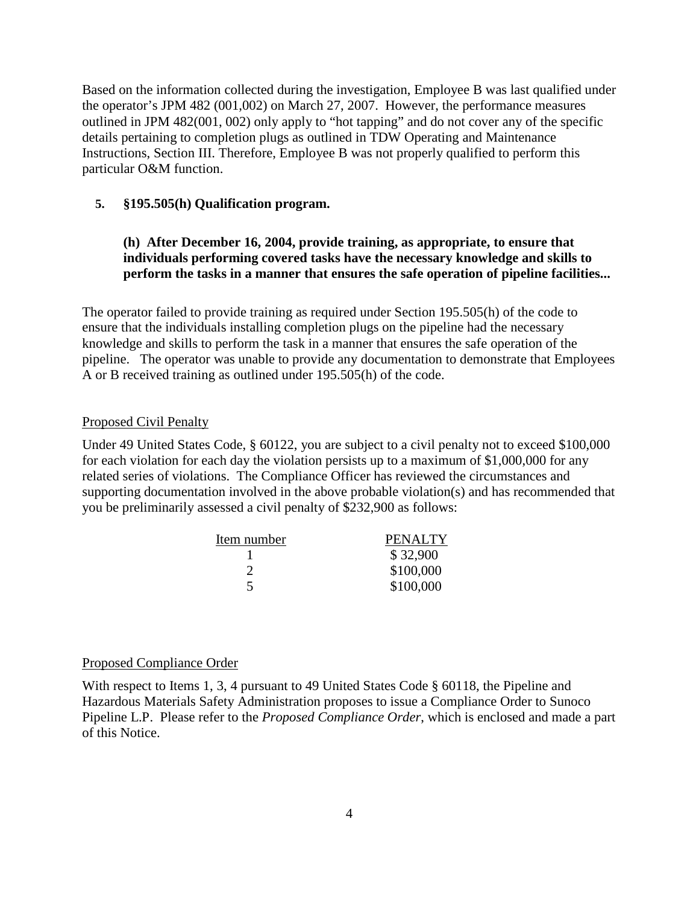Based on the information collected during the investigation, Employee B was last qualified under the operator's JPM 482 (001,002) on March 27, 2007. However, the performance measures outlined in JPM 482(001, 002) only apply to "hot tapping" and do not cover any of the specific details pertaining to completion plugs as outlined in TDW Operating and Maintenance Instructions, Section III. Therefore, Employee B was not properly qualified to perform this particular O&M function.

#### **5. §195.505(h) Qualification program.**

## **(h) After December 16, 2004, provide training, as appropriate, to ensure that individuals performing covered tasks have the necessary knowledge and skills to perform the tasks in a manner that ensures the safe operation of pipeline facilities...**

The operator failed to provide training as required under Section 195.505(h) of the code to ensure that the individuals installing completion plugs on the pipeline had the necessary knowledge and skills to perform the task in a manner that ensures the safe operation of the pipeline. The operator was unable to provide any documentation to demonstrate that Employees A or B received training as outlined under 195.505(h) of the code.

#### Proposed Civil Penalty

Under 49 United States Code, § 60122, you are subject to a civil penalty not to exceed \$100,000 for each violation for each day the violation persists up to a maximum of \$1,000,000 for any related series of violations. The Compliance Officer has reviewed the circumstances and supporting documentation involved in the above probable violation(s) and has recommended that you be preliminarily assessed a civil penalty of \$232,900 as follows:

| Item number | <b>PENALTY</b> |
|-------------|----------------|
|             | \$32,900       |
|             | \$100,000      |
|             | \$100,000      |

#### Proposed Compliance Order

With respect to Items 1, 3, 4 pursuant to 49 United States Code § 60118, the Pipeline and Hazardous Materials Safety Administration proposes to issue a Compliance Order to Sunoco Pipeline L.P. Please refer to the *Proposed Compliance Order*, which is enclosed and made a part of this Notice.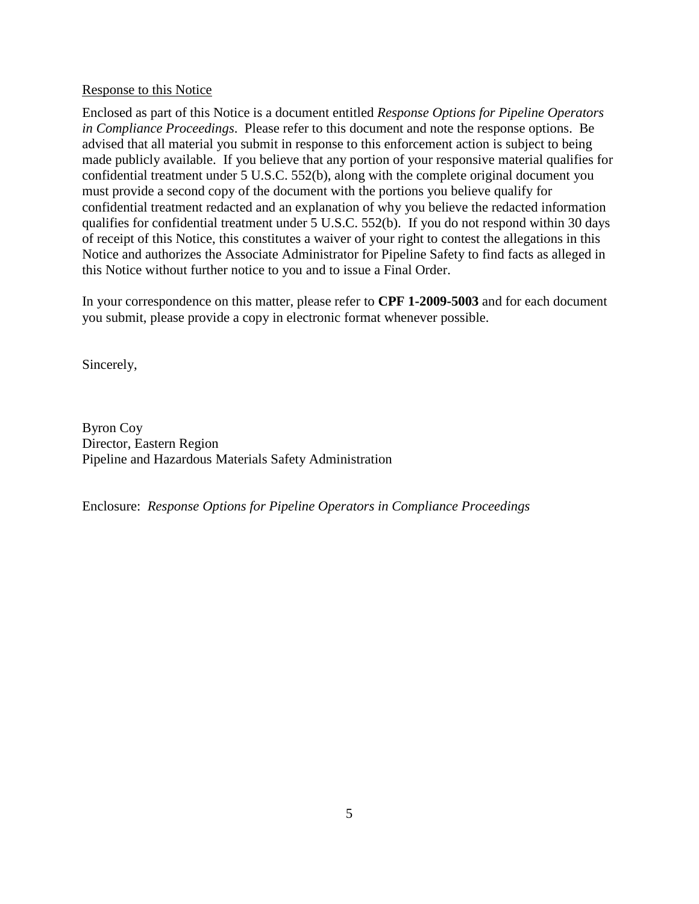#### Response to this Notice

Enclosed as part of this Notice is a document entitled *Response Options for Pipeline Operators in Compliance Proceedings*. Please refer to this document and note the response options. Be advised that all material you submit in response to this enforcement action is subject to being made publicly available. If you believe that any portion of your responsive material qualifies for confidential treatment under 5 U.S.C. 552(b), along with the complete original document you must provide a second copy of the document with the portions you believe qualify for confidential treatment redacted and an explanation of why you believe the redacted information qualifies for confidential treatment under 5 U.S.C. 552(b). If you do not respond within 30 days of receipt of this Notice, this constitutes a waiver of your right to contest the allegations in this Notice and authorizes the Associate Administrator for Pipeline Safety to find facts as alleged in this Notice without further notice to you and to issue a Final Order.

In your correspondence on this matter, please refer to **CPF 1-2009-5003** and for each document you submit, please provide a copy in electronic format whenever possible.

Sincerely,

Byron Coy Director, Eastern Region Pipeline and Hazardous Materials Safety Administration

Enclosure: *Response Options for Pipeline Operators in Compliance Proceedings*